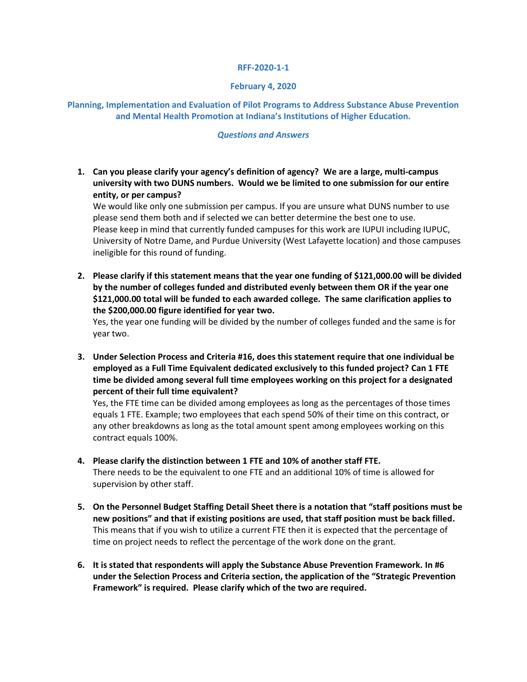## **RFF-2020-1-1**

## **February 4, 2020**

## **Planning, Implementation and Evaluation of Pilot Programs to Address Substance Abuse Prevention and Mental Health Promotion at Indiana's Institutions of Higher Education.**

## *Questions and Answers*

**1. Can you please clarify your agency's definition of agency? We are a large, multi-campus university with two DUNS numbers. Would we be limited to one submission for our entire entity, or per campus?**

We would like only one submission per campus. If you are unsure what DUNS number to use please send them both and if selected we can better determine the best one to use. Please keep in mind that currently funded campuses for this work are IUPUI including IUPUC, University of Notre Dame, and Purdue University (West Lafayette location) and those campuses ineligible for this round of funding.

**2. Please clarify if this statement means that the year one funding of \$121,000.00 will be divided by the number of colleges funded and distributed evenly between them OR if the year one \$121,000.00 total will be funded to each awarded college. The same clarification applies to the \$200,000.00 figure identified for year two.**

Yes, the year one funding will be divided by the number of colleges funded and the same is for year two.

**3. Under Selection Process and Criteria #16, does this statement require that one individual be employed as a Full Time Equivalent dedicated exclusively to this funded project? Can 1 FTE time be divided among several full time employees working on this project for a designated percent of their full time equivalent?**

Yes, the FTE time can be divided among employees as long as the percentages of those times equals 1 FTE. Example; two employees that each spend 50% of their time on this contract, or any other breakdowns as long as the total amount spent among employees working on this contract equals 100%.

- **4. Please clarify the distinction between 1 FTE and 10% of another staff FTE.** There needs to be the equivalent to one FTE and an additional 10% of time is allowed for supervision by other staff.
- **5. On the Personnel Budget Staffing Detail Sheet there is a notation that "staff positions must be new positions" and that if existing positions are used, that staff position must be back filled.** This means that if you wish to utilize a current FTE then it is expected that the percentage of time on project needs to reflect the percentage of the work done on the grant.
- **6. It is stated that respondents will apply the Substance Abuse Prevention Framework. In #6 under the Selection Process and Criteria section, the application of the "Strategic Prevention Framework" is required. Please clarify which of the two are required.**